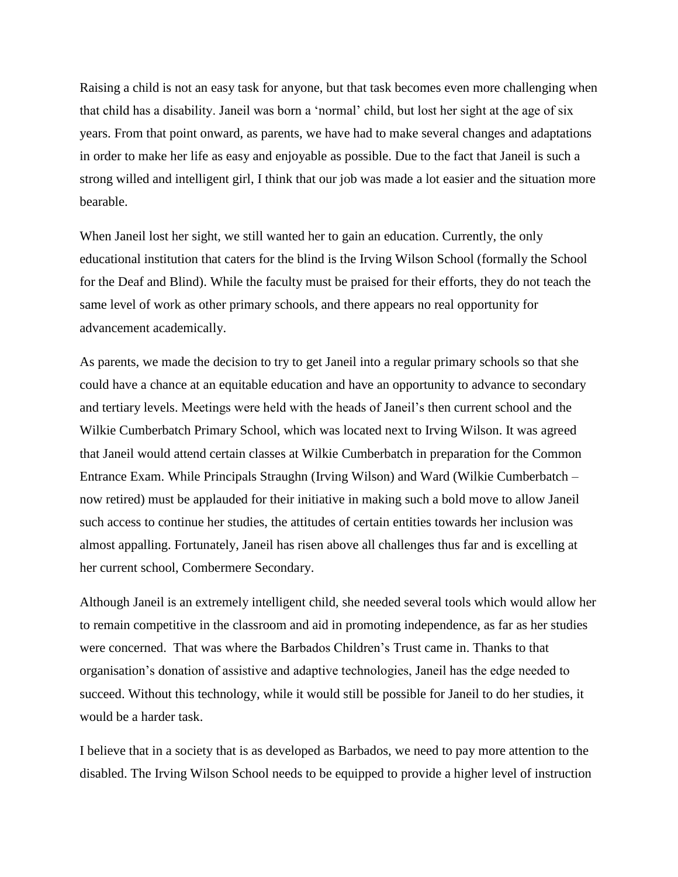Raising a child is not an easy task for anyone, but that task becomes even more challenging when that child has a disability. Janeil was born a 'normal' child, but lost her sight at the age of six years. From that point onward, as parents, we have had to make several changes and adaptations in order to make her life as easy and enjoyable as possible. Due to the fact that Janeil is such a strong willed and intelligent girl, I think that our job was made a lot easier and the situation more bearable.

When Janeil lost her sight, we still wanted her to gain an education. Currently, the only educational institution that caters for the blind is the Irving Wilson School (formally the School for the Deaf and Blind). While the faculty must be praised for their efforts, they do not teach the same level of work as other primary schools, and there appears no real opportunity for advancement academically.

As parents, we made the decision to try to get Janeil into a regular primary schools so that she could have a chance at an equitable education and have an opportunity to advance to secondary and tertiary levels. Meetings were held with the heads of Janeil's then current school and the Wilkie Cumberbatch Primary School, which was located next to Irving Wilson. It was agreed that Janeil would attend certain classes at Wilkie Cumberbatch in preparation for the Common Entrance Exam. While Principals Straughn (Irving Wilson) and Ward (Wilkie Cumberbatch – now retired) must be applauded for their initiative in making such a bold move to allow Janeil such access to continue her studies, the attitudes of certain entities towards her inclusion was almost appalling. Fortunately, Janeil has risen above all challenges thus far and is excelling at her current school, Combermere Secondary.

Although Janeil is an extremely intelligent child, she needed several tools which would allow her to remain competitive in the classroom and aid in promoting independence, as far as her studies were concerned. That was where the Barbados Children's Trust came in. Thanks to that organisation's donation of assistive and adaptive technologies, Janeil has the edge needed to succeed. Without this technology, while it would still be possible for Janeil to do her studies, it would be a harder task.

I believe that in a society that is as developed as Barbados, we need to pay more attention to the disabled. The Irving Wilson School needs to be equipped to provide a higher level of instruction